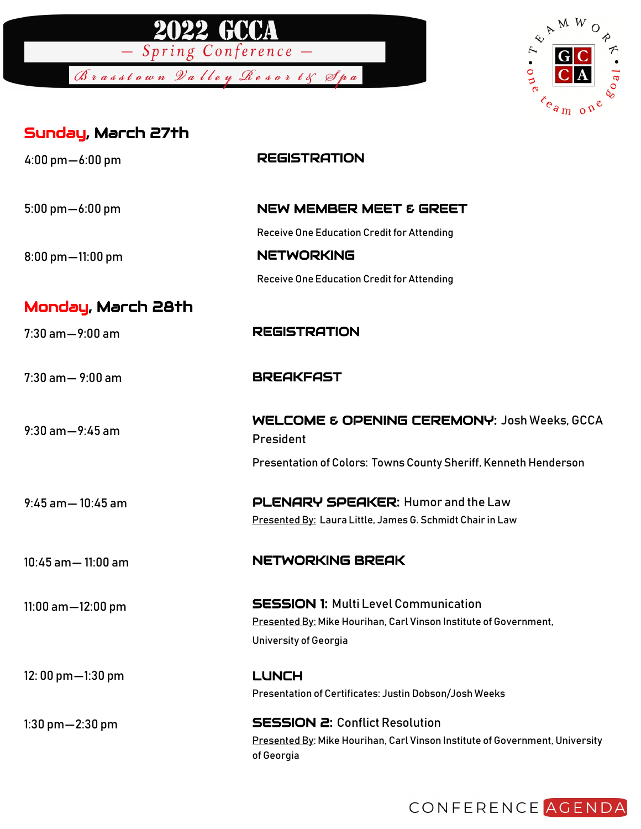

Brasstown Valley Resort& Spa



## Sunday, March 27th

| $4:00 \text{ pm} - 6:00 \text{ pm}$ | <b>REGISTRATION</b>                                                                                                                              |
|-------------------------------------|--------------------------------------------------------------------------------------------------------------------------------------------------|
| $5:00$ pm $-6:00$ pm                | <b>NEW MEMBER MEET &amp; GREET</b>                                                                                                               |
|                                     | Receive One Education Credit for Attending                                                                                                       |
| 8:00 pm-11:00 pm                    | <b>NETWORKING</b>                                                                                                                                |
|                                     | Receive One Education Credit for Attending                                                                                                       |
| Monday, March 28th                  |                                                                                                                                                  |
| $7:30$ am $-9:00$ am                | <b>REGISTRATION</b>                                                                                                                              |
| $7:30$ am $-9:00$ am                | <b>BREAKFAST</b>                                                                                                                                 |
| $9:30$ am $-9:45$ am                | <b>WELCOME &amp; OPENING CEREMONY: Josh Weeks, GCCA</b><br>President                                                                             |
|                                     | Presentation of Colors: Towns County Sheriff, Kenneth Henderson                                                                                  |
| $9.45$ am $-10.45$ am               | PLENARY SPEAKER: Humor and the Law<br>Presented By: Laura Little, James G. Schmidt Chair in Law                                                  |
|                                     |                                                                                                                                                  |
| $10:45$ am $- 11:00$ am             | <b>NETWORKING BREAK</b>                                                                                                                          |
| 11:00 am-12:00 pm                   | <b>SESSION 1: Multi Level Communication</b><br>Presented By: Mike Hourihan, Carl Vinson Institute of Government,<br><b>University of Georgia</b> |
| 12:00 pm-1:30 pm                    | <b>LUNCH</b><br>Presentation of Certificates: Justin Dobson/Josh Weeks                                                                           |
| $1:30$ pm $-2:30$ pm                | <b>SESSION 2: Conflict Resolution</b><br>Presented By: Mike Hourihan, Carl Vinson Institute of Government, University<br>of Georgia              |

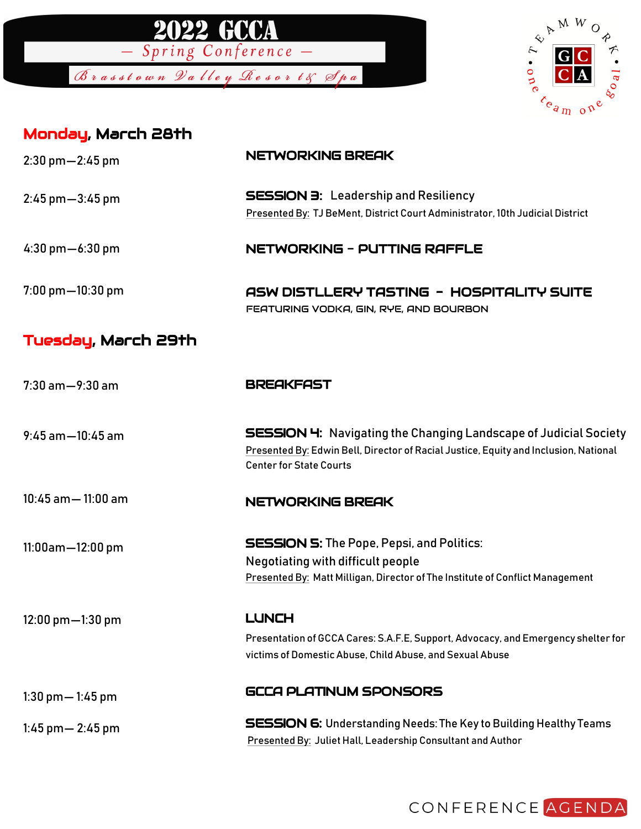



| Monday, March 28th                  |                                                                                                                                                                                                   |
|-------------------------------------|---------------------------------------------------------------------------------------------------------------------------------------------------------------------------------------------------|
| $2:30$ pm $-2:45$ pm                | NETWORKING BREAK                                                                                                                                                                                  |
| $2:45 \text{ pm} - 3:45 \text{ pm}$ | <b>SESSION 3:</b> Leadership and Resiliency<br>Presented By: TJ BeMent, District Court Administrator, 10th Judicial District                                                                      |
| $4:30 \text{ pm} - 6:30 \text{ pm}$ | <b>NETWORKING - PUTTING RAFFLE</b>                                                                                                                                                                |
| $7:00$ pm $-10:30$ pm               | ASW DISTLLERY TASTING - HOSPITALITY SUITE<br>FEATURING VODKA, GIN, RYE, AND BOURBON                                                                                                               |
| Tuesday, March 29th                 |                                                                                                                                                                                                   |
| $7:30$ am $-9:30$ am                | <b>BREAKFAST</b>                                                                                                                                                                                  |
| $9:45$ am $-10:45$ am               | <b>SESSION 4:</b> Navigating the Changing Landscape of Judicial Society<br>Presented By: Edwin Bell, Director of Racial Justice, Equity and Inclusion, National<br><b>Center for State Courts</b> |
| $10:45$ am $- 11:00$ am             | NETWORKING BREAK                                                                                                                                                                                  |
| $11:00$ am $-12:00$ pm              | <b>SESSION 5:</b> The Pope, Pepsi, and Politics:<br>Negotiating with difficult people<br>Presented By: Matt Milligan, Director of The Institute of Conflict Management                            |
| 12:00 pm-1:30 pm                    | <b>LUNCH</b>                                                                                                                                                                                      |
|                                     | Presentation of GCCA Cares: S.A.F.E, Support, Advocacy, and Emergency shelter for<br>victims of Domestic Abuse, Child Abuse, and Sexual Abuse                                                     |
| 1:30 pm $-$ 1:45 pm                 | GCCA PLATINUM SPONSORS                                                                                                                                                                            |
| 1:45 pm $-$ 2:45 pm                 | <b>SESSION 6:</b> Understanding Needs: The Key to Building Healthy Teams                                                                                                                          |

Presented By: Juliet Hall, Leadership Consultant and Author